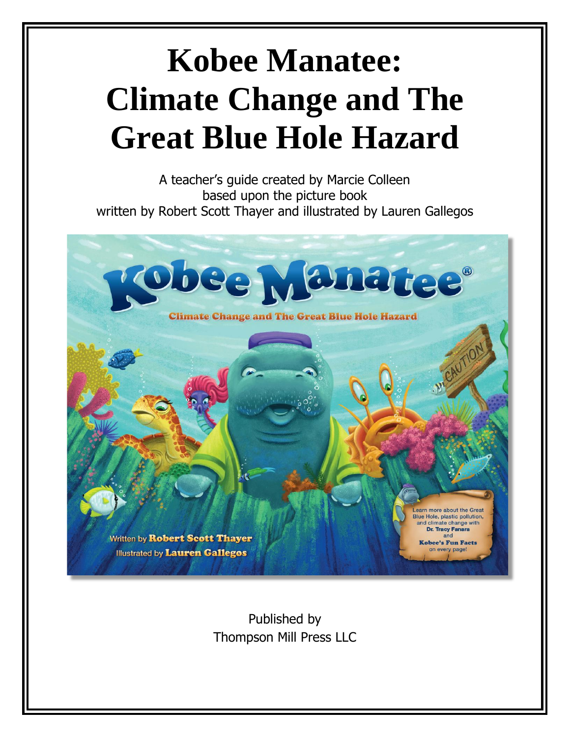# **Kobee Manatee: Climate Change and The Great Blue Hole Hazard**

A teacher's guide created by Marcie Colleen based upon the picture book written by Robert Scott Thayer and illustrated by Lauren Gallegos



Published by Thompson Mill Press LLC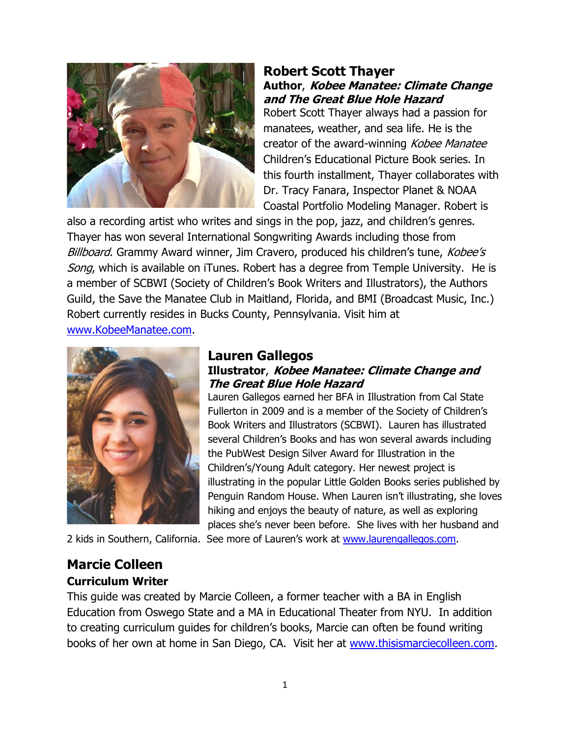

#### **Robert Scott Thayer Author**, **Kobee Manatee: Climate Change and The Great Blue Hole Hazard**

Robert Scott Thayer always had a passion for manatees, weather, and sea life. He is the creator of the award-winning Kobee Manatee Children's Educational Picture Book series. In this fourth installment, Thayer collaborates with Dr. Tracy Fanara, Inspector Planet & NOAA Coastal Portfolio Modeling Manager. Robert is

also a recording artist who writes and sings in the pop, jazz, and children's genres. Thayer has won several International Songwriting Awards including those from Billboard. Grammy Award winner, Jim Cravero, produced his children's tune, Kobee's Song, which is available on iTunes. Robert has a degree from Temple University. He is a member of SCBWI (Society of Children's Book Writers and Illustrators), the Authors Guild, the Save the Manatee Club in Maitland, Florida, and BMI (Broadcast Music, Inc.) Robert currently resides in Bucks County, Pennsylvania. Visit him at [www.KobeeManatee.com.](http://www.kobeemanatee.com/)



#### **Lauren Gallegos Illustrator**, **Kobee Manatee: Climate Change and The Great Blue Hole Hazard**

Lauren Gallegos earned her BFA in Illustration from Cal State Fullerton in 2009 and is a member of the Society of Children's Book Writers and Illustrators (SCBWI). Lauren has illustrated several Children's Books and has won several awards including the PubWest Design Silver Award for Illustration in the Children's/Young Adult category. Her newest project is illustrating in the popular Little Golden Books series published by Penguin Random House. When Lauren isn't illustrating, she loves hiking and enjoys the beauty of nature, as well as exploring places she's never been before. She lives with her husband and

2 kids in Southern, California. See more of Lauren's work at [www.laurengallegos.com.](http://www.laurengallegos.com/)

### **Marcie Colleen Curriculum Writer**

This guide was created by Marcie Colleen, a former teacher with a BA in English Education from Oswego State and a MA in Educational Theater from NYU. In addition to creating curriculum guides for children's books, Marcie can often be found writing books of her own at home in San Diego, CA. Visit her at [www.thisismarciecolleen.com.](/Users/marciecolleen/Desktop/Teacher)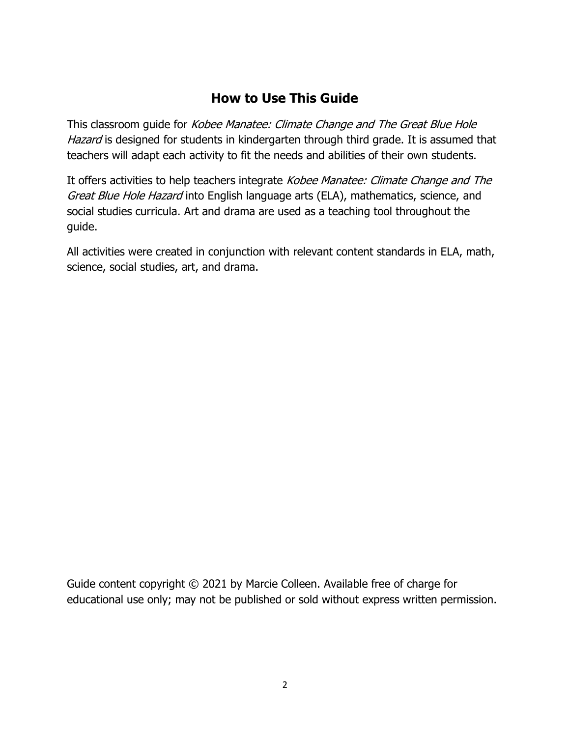## **How to Use This Guide**

This classroom quide for Kobee Manatee: Climate Change and The Great Blue Hole Hazard is designed for students in kindergarten through third grade. It is assumed that teachers will adapt each activity to fit the needs and abilities of their own students.

It offers activities to help teachers integrate Kobee Manatee: Climate Change and The Great Blue Hole Hazard into English language arts (ELA), mathematics, science, and social studies curricula. Art and drama are used as a teaching tool throughout the guide.

All activities were created in conjunction with relevant content standards in ELA, math, science, social studies, art, and drama.

Guide content copyright © 2021 by Marcie Colleen. Available free of charge for educational use only; may not be published or sold without express written permission.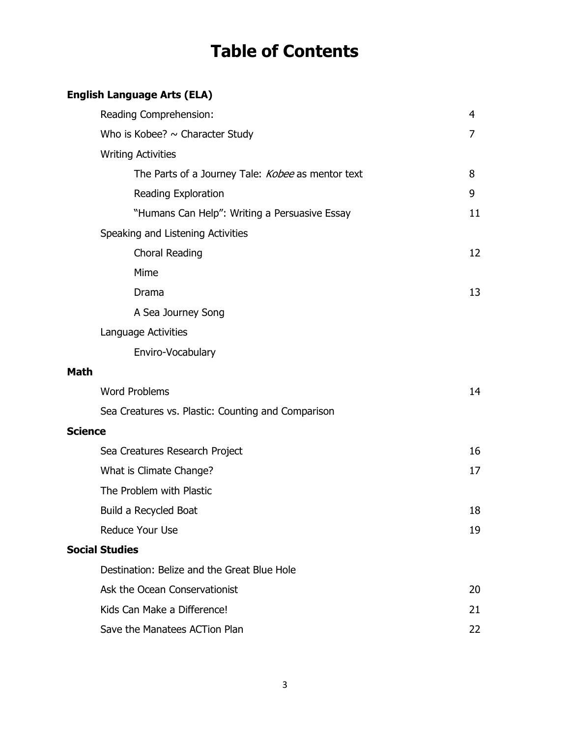# **Table of Contents**

## **English Language Arts (ELA)**

| Reading Comprehension:                             | 4  |
|----------------------------------------------------|----|
| Who is Kobee? $\sim$ Character Study               | 7  |
| <b>Writing Activities</b>                          |    |
| The Parts of a Journey Tale: Kobee as mentor text  | 8  |
| Reading Exploration                                | 9  |
| "Humans Can Help": Writing a Persuasive Essay      | 11 |
| Speaking and Listening Activities                  |    |
| Choral Reading                                     | 12 |
| Mime                                               |    |
| Drama                                              | 13 |
| A Sea Journey Song                                 |    |
| Language Activities                                |    |
| Enviro-Vocabulary                                  |    |
| <b>Math</b>                                        |    |
| <b>Word Problems</b>                               | 14 |
| Sea Creatures vs. Plastic: Counting and Comparison |    |
| <b>Science</b>                                     |    |
| Sea Creatures Research Project                     | 16 |
| What is Climate Change?                            | 17 |
| The Problem with Plastic                           |    |
| Build a Recycled Boat                              | 18 |
| <b>Reduce Your Use</b>                             | 19 |
| <b>Social Studies</b>                              |    |
| Destination: Belize and the Great Blue Hole        |    |
| Ask the Ocean Conservationist                      | 20 |
| Kids Can Make a Difference!                        | 21 |
| Save the Manatees ACTion Plan                      | 22 |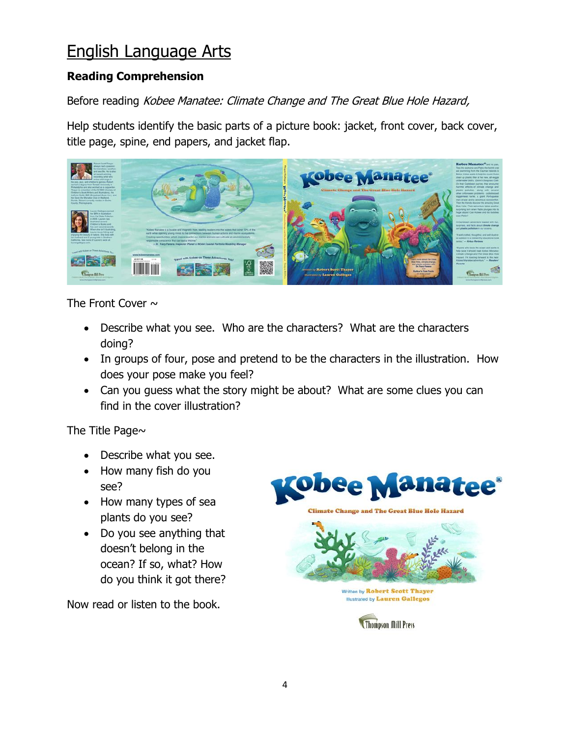## English Language Arts

#### **Reading Comprehension**

Before reading Kobee Manatee: Climate Change and The Great Blue Hole Hazard,

Help students identify the basic parts of a picture book: jacket, front cover, back cover, title page, spine, end papers, and jacket flap.



The Front Cover  $\sim$ 

- Describe what you see. Who are the characters? What are the characters doing?
- In groups of four, pose and pretend to be the characters in the illustration. How does your pose make you feel?
- Can you guess what the story might be about? What are some clues you can find in the cover illustration?

The Title Page~

- Describe what you see.
- How many fish do you see?
- How many types of sea plants do you see?
- Do you see anything that doesn't belong in the ocean? If so, what? How do you think it got there?

Now read or listen to the book.



Written by Robert Scott Thayer **Illustrated by Lauren Gallegos** 

**Thompson Mill Press**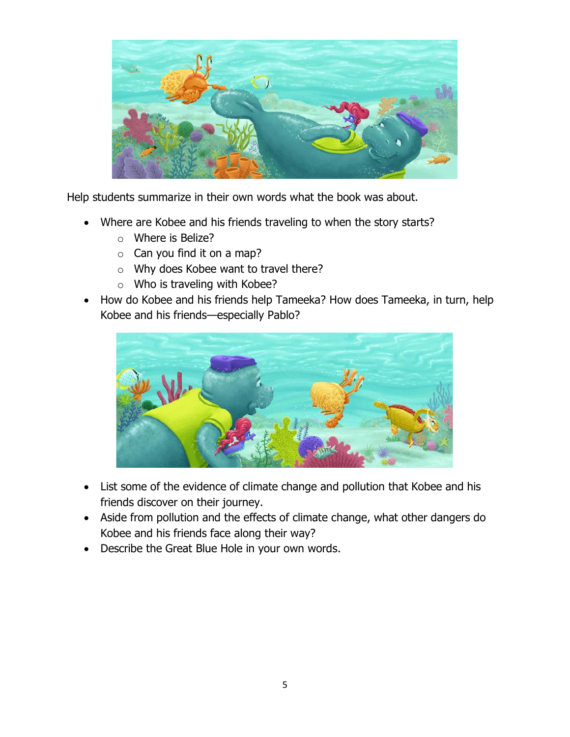

Help students summarize in their own words what the book was about.

- Where are Kobee and his friends traveling to when the story starts?
	- o Where is Belize?
	- $\circ$  Can you find it on a map?
	- o Why does Kobee want to travel there?
	- o Who is traveling with Kobee?
- How do Kobee and his friends help Tameeka? How does Tameeka, in turn, help Kobee and his friends—especially Pablo?



- List some of the evidence of climate change and pollution that Kobee and his friends discover on their journey.
- Aside from pollution and the effects of climate change, what other dangers do Kobee and his friends face along their way?
- Describe the Great Blue Hole in your own words.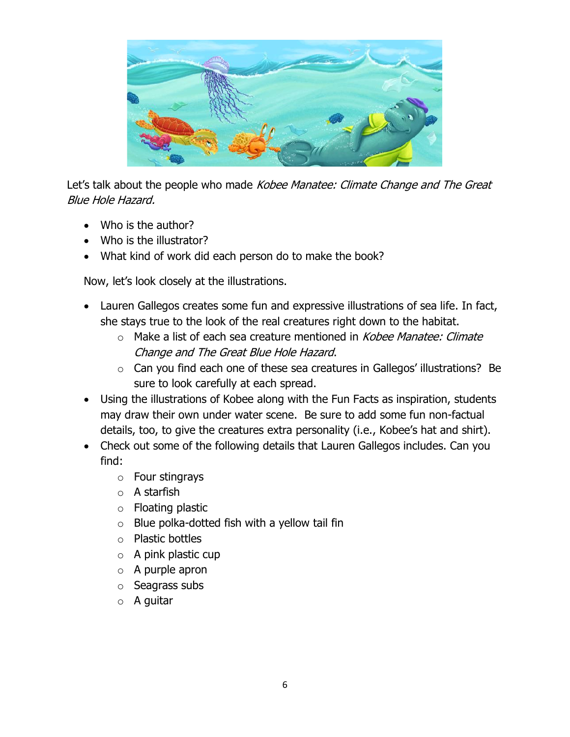

Let's talk about the people who made Kobee Manatee: Climate Change and The Great Blue Hole Hazard.

- Who is the author?
- Who is the illustrator?
- What kind of work did each person do to make the book?

Now, let's look closely at the illustrations.

- Lauren Gallegos creates some fun and expressive illustrations of sea life. In fact, she stays true to the look of the real creatures right down to the habitat.
	- $\circ$  Make a list of each sea creature mentioned in *Kobee Manatee: Climate* Change and The Great Blue Hole Hazard.
	- o Can you find each one of these sea creatures in Gallegos' illustrations? Be sure to look carefully at each spread.
- Using the illustrations of Kobee along with the Fun Facts as inspiration, students may draw their own under water scene. Be sure to add some fun non-factual details, too, to give the creatures extra personality (i.e., Kobee's hat and shirt).
- Check out some of the following details that Lauren Gallegos includes. Can you find:
	- o Four stingrays
	- o A starfish
	- o Floating plastic
	- $\circ$  Blue polka-dotted fish with a yellow tail fin
	- o Plastic bottles
	- $\circ$  A pink plastic cup
	- $\circ$  A purple apron
	- o Seagrass subs
	- $\circ$  A quitar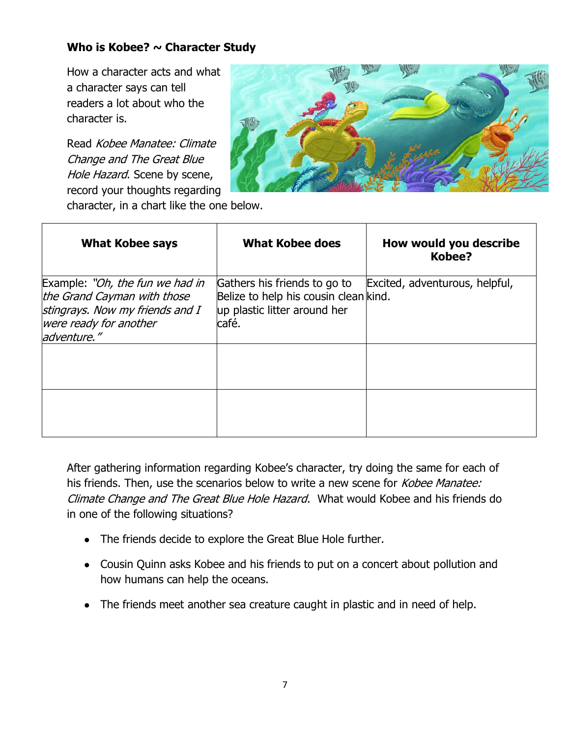#### **Who is Kobee? ~ Character Study**

How a character acts and what a character says can tell readers a lot about who the character is.

Read Kobee Manatee: Climate Change and The Great Blue Hole Hazard. Scene by scene, record your thoughts regarding



character, in a chart like the one below.

| <b>What Kobee says</b>                                                                                                                     | <b>What Kobee does</b>                                                                                         | How would you describe<br>Kobee? |
|--------------------------------------------------------------------------------------------------------------------------------------------|----------------------------------------------------------------------------------------------------------------|----------------------------------|
| Example: "Oh, the fun we had in<br>the Grand Cayman with those<br>stingrays. Now my friends and I<br>were ready for another<br>adventure." | Gathers his friends to go to<br>Belize to help his cousin clean kind.<br>up plastic litter around her<br>café. | Excited, adventurous, helpful,   |
|                                                                                                                                            |                                                                                                                |                                  |
|                                                                                                                                            |                                                                                                                |                                  |

After gathering information regarding Kobee's character, try doing the same for each of his friends. Then, use the scenarios below to write a new scene for Kobee Manatee: Climate Change and The Great Blue Hole Hazard. What would Kobee and his friends do in one of the following situations?

- The friends decide to explore the Great Blue Hole further.
- Cousin Quinn asks Kobee and his friends to put on a concert about pollution and how humans can help the oceans.
- The friends meet another sea creature caught in plastic and in need of help.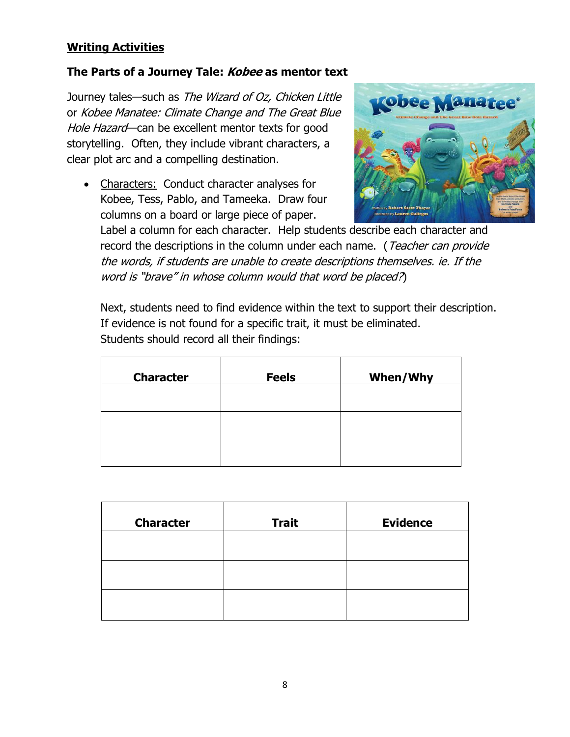#### **Writing Activities**

#### **The Parts of a Journey Tale: Kobee as mentor text**

Journey tales—such as The Wizard of Oz, Chicken Little or Kobee Manatee: Climate Change and The Great Blue Hole Hazard—can be excellent mentor texts for good storytelling. Often, they include vibrant characters, a clear plot arc and a compelling destination.

• Characters: Conduct character analyses for Kobee, Tess, Pablo, and Tameeka. Draw four columns on a board or large piece of paper.



Label a column for each character. Help students describe each character and record the descriptions in the column under each name. (Teacher can provide the words, if students are unable to create descriptions themselves. ie. If the word is "brave" in whose column would that word be placed?)

Next, students need to find evidence within the text to support their description. If evidence is not found for a specific trait, it must be eliminated. Students should record all their findings:

| <b>Character</b> | <b>Feels</b> | When/Why |
|------------------|--------------|----------|
|                  |              |          |
|                  |              |          |
|                  |              |          |

| <b>Character</b> | <b>Trait</b> | <b>Evidence</b> |
|------------------|--------------|-----------------|
|                  |              |                 |
|                  |              |                 |
|                  |              |                 |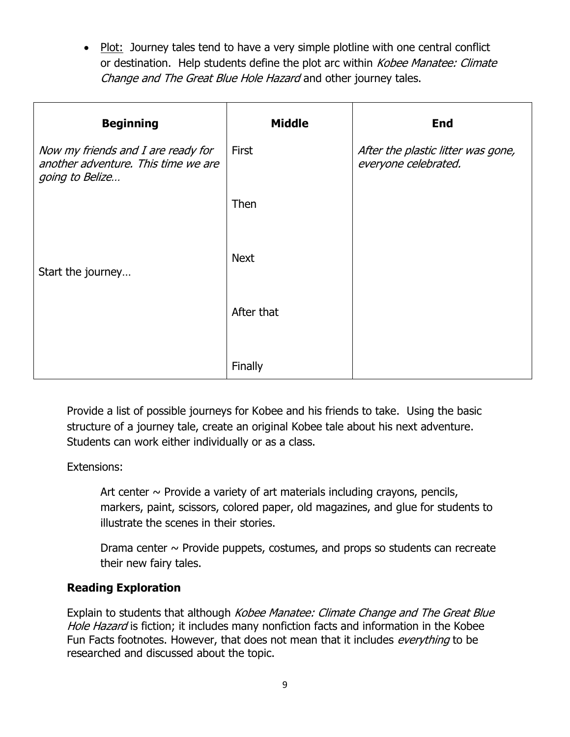• Plot: Journey tales tend to have a very simple plotline with one central conflict or destination. Help students define the plot arc within Kobee Manatee: Climate Change and The Great Blue Hole Hazard and other journey tales.

| <b>Beginning</b>                                                                             | <b>Middle</b> | <b>End</b>                                                 |
|----------------------------------------------------------------------------------------------|---------------|------------------------------------------------------------|
| Now my friends and I are ready for<br>another adventure. This time we are<br>going to Belize | First         | After the plastic litter was gone,<br>everyone celebrated. |
|                                                                                              | Then          |                                                            |
| Start the journey                                                                            | <b>Next</b>   |                                                            |
|                                                                                              | After that    |                                                            |
|                                                                                              | Finally       |                                                            |

Provide a list of possible journeys for Kobee and his friends to take. Using the basic structure of a journey tale, create an original Kobee tale about his next adventure. Students can work either individually or as a class.

#### Extensions:

Art center  $\sim$  Provide a variety of art materials including crayons, pencils, markers, paint, scissors, colored paper, old magazines, and glue for students to illustrate the scenes in their stories.

Drama center  $\sim$  Provide puppets, costumes, and props so students can recreate their new fairy tales.

#### **Reading Exploration**

Explain to students that although Kobee Manatee: Climate Change and The Great Blue Hole Hazard is fiction; it includes many nonfiction facts and information in the Kobee Fun Facts footnotes. However, that does not mean that it includes *everything* to be researched and discussed about the topic.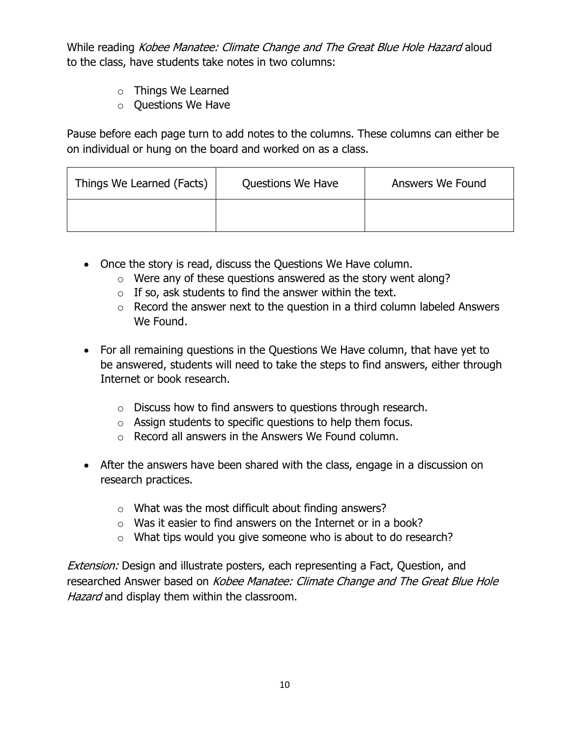While reading Kobee Manatee: Climate Change and The Great Blue Hole Hazard aloud to the class, have students take notes in two columns:

- o Things We Learned
- o Questions We Have

Pause before each page turn to add notes to the columns. These columns can either be on individual or hung on the board and worked on as a class.

| Things We Learned (Facts) | Questions We Have | Answers We Found |
|---------------------------|-------------------|------------------|
|                           |                   |                  |

- Once the story is read, discuss the Questions We Have column.
	- o Were any of these questions answered as the story went along?
	- $\circ$  If so, ask students to find the answer within the text.
	- $\circ$  Record the answer next to the question in a third column labeled Answers We Found,
- For all remaining questions in the Questions We Have column, that have yet to be answered, students will need to take the steps to find answers, either through Internet or book research.
	- o Discuss how to find answers to questions through research.
	- $\circ$  Assign students to specific questions to help them focus.
	- o Record all answers in the Answers We Found column.
- After the answers have been shared with the class, engage in a discussion on research practices.
	- o What was the most difficult about finding answers?
	- $\circ$  Was it easier to find answers on the Internet or in a book?
	- o What tips would you give someone who is about to do research?

Extension: Design and illustrate posters, each representing a Fact, Question, and researched Answer based on Kobee Manatee: Climate Change and The Great Blue Hole Hazard and display them within the classroom.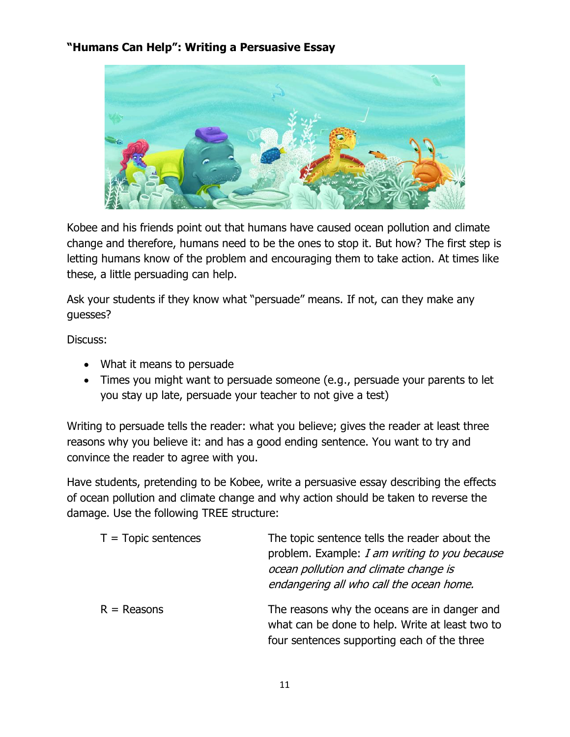#### **"Humans Can Help": Writing a Persuasive Essay**



Kobee and his friends point out that humans have caused ocean pollution and climate change and therefore, humans need to be the ones to stop it. But how? The first step is letting humans know of the problem and encouraging them to take action. At times like these, a little persuading can help.

Ask your students if they know what "persuade" means. If not, can they make any guesses?

Discuss:

- What it means to persuade
- Times you might want to persuade someone (e.g., persuade your parents to let you stay up late, persuade your teacher to not give a test)

Writing to persuade tells the reader: what you believe; gives the reader at least three reasons why you believe it: and has a good ending sentence. You want to try and convince the reader to agree with you.

Have students, pretending to be Kobee, write a persuasive essay describing the effects of ocean pollution and climate change and why action should be taken to reverse the damage. Use the following TREE structure:

| $T = \text{Topic sentences}$ | The topic sentence tells the reader about the<br>problem. Example: I am writing to you because<br>ocean pollution and climate change is<br>endangering all who call the ocean home. |
|------------------------------|-------------------------------------------------------------------------------------------------------------------------------------------------------------------------------------|
| $R = Reasons$                | The reasons why the oceans are in danger and<br>what can be done to help. Write at least two to<br>four sentences supporting each of the three                                      |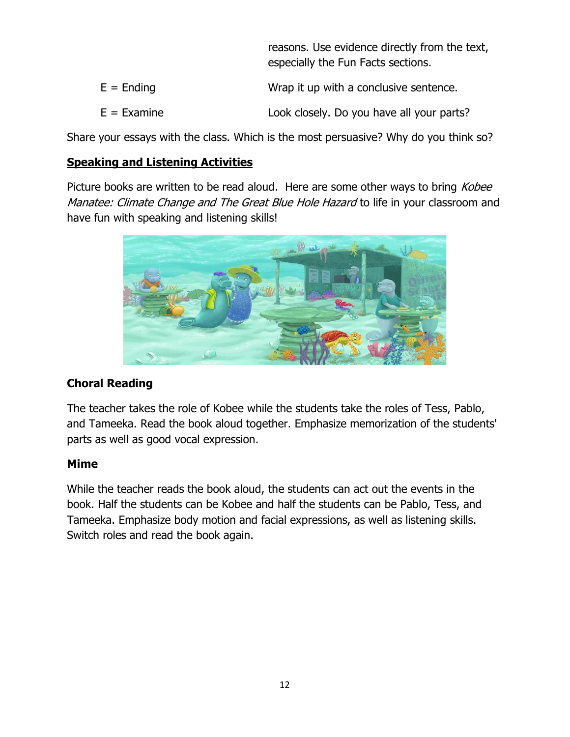reasons. Use evidence directly from the text, especially the Fun Facts sections.

- $E =$  Ending  $E =$  Ending  $E =$  Wrap it up with a conclusive sentence.
- $E = Examine$  Look closely. Do you have all your parts?

Share your essays with the class. Which is the most persuasive? Why do you think so?

#### **Speaking and Listening Activities**

Picture books are written to be read aloud. Here are some other ways to bring Kobee Manatee: Climate Change and The Great Blue Hole Hazard to life in your classroom and have fun with speaking and listening skills!



#### **Choral Reading**

The teacher takes the role of Kobee while the students take the roles of Tess, Pablo, and Tameeka. Read the book aloud together. Emphasize memorization of the students' parts as well as good vocal expression.

#### **Mime**

While the teacher reads the book aloud, the students can act out the events in the book. Half the students can be Kobee and half the students can be Pablo, Tess, and Tameeka. Emphasize body motion and facial expressions, as well as listening skills. Switch roles and read the book again.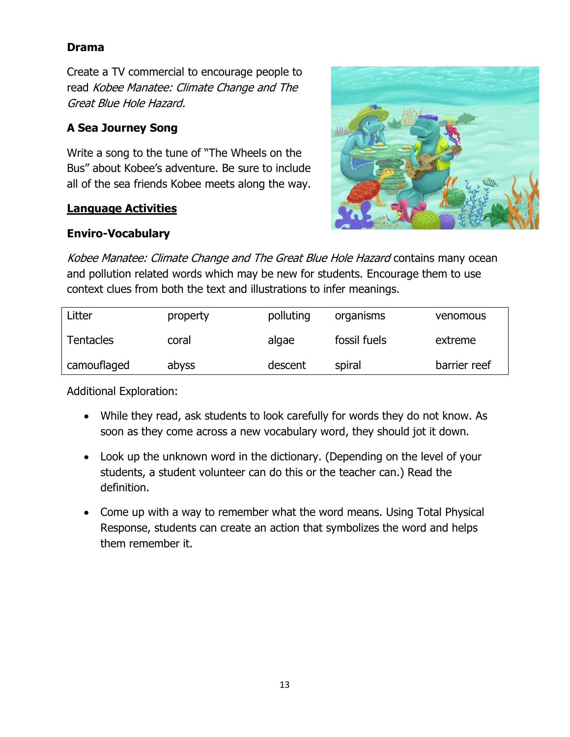#### **Drama**

Create a TV commercial to encourage people to read Kobee Manatee: Climate Change and The Great Blue Hole Hazard.

#### **A Sea Journey Song**

Write a song to the tune of "The Wheels on the Bus" about Kobee's adventure. Be sure to include all of the sea friends Kobee meets along the way.

#### **Language Activities**

#### **Enviro-Vocabulary**



Kobee Manatee: Climate Change and The Great Blue Hole Hazard contains many ocean and pollution related words which may be new for students. Encourage them to use context clues from both the text and illustrations to infer meanings.

| Litter           | property | polluting | organisms    | venomous     |
|------------------|----------|-----------|--------------|--------------|
| <b>Tentacles</b> | coral    | algae     | fossil fuels | extreme      |
| camouflaged      | abyss    | descent   | spiral       | barrier reef |

Additional Exploration:

- While they read, ask students to look carefully for words they do not know. As soon as they come across a new vocabulary word, they should jot it down.
- Look up the unknown word in the dictionary. (Depending on the level of your students, a student volunteer can do this or the teacher can.) Read the definition.
- Come up with a way to remember what the word means. Using Total Physical Response, students can create an action that symbolizes the word and helps them remember it.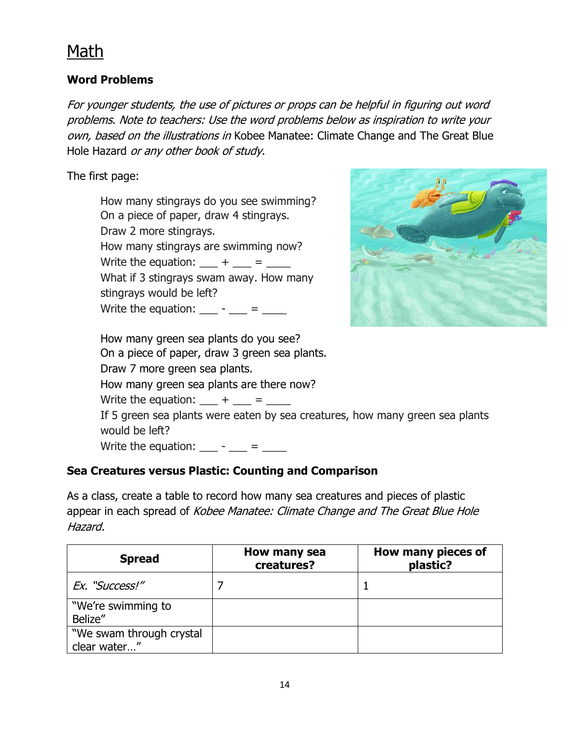# Math

#### **Word Problems**

For younger students, the use of pictures or props can be helpful in figuring out word problems. Note to teachers: Use the word problems below as inspiration to write your own, based on the illustrations in Kobee Manatee: Climate Change and The Great Blue Hole Hazard or any other book of study.

The first page:

| How many stingrays do you see swimming?                                                                                                                                                                                                                                                                                                                                                                           |
|-------------------------------------------------------------------------------------------------------------------------------------------------------------------------------------------------------------------------------------------------------------------------------------------------------------------------------------------------------------------------------------------------------------------|
| On a piece of paper, draw 4 stingrays.                                                                                                                                                                                                                                                                                                                                                                            |
| Draw 2 more stingrays.                                                                                                                                                                                                                                                                                                                                                                                            |
| How many stingrays are swimming now?                                                                                                                                                                                                                                                                                                                                                                              |
| Write the equation: $+$ $-$ =                                                                                                                                                                                                                                                                                                                                                                                     |
| What if 3 stingrays swam away. How many                                                                                                                                                                                                                                                                                                                                                                           |
| stingrays would be left?                                                                                                                                                                                                                                                                                                                                                                                          |
| Write the equation: $\frac{1}{\sqrt{1-\frac{1}{\sqrt{1-\frac{1}{\sqrt{1-\frac{1}{\sqrt{1-\frac{1}{\sqrt{1-\frac{1}{\sqrt{1-\frac{1}{\sqrt{1-\frac{1}{\sqrt{1-\frac{1}{\sqrt{1-\frac{1}{\sqrt{1-\frac{1}{\sqrt{1-\frac{1}{\sqrt{1-\frac{1}{\sqrt{1-\frac{1}{\sqrt{1-\frac{1}{\sqrt{1-\frac{1}{\sqrt{1-\frac{1}{\sqrt{1-\frac{1}{\sqrt{1-\frac{1}{\sqrt{1-\frac{1}{\sqrt{1-\frac{1}{\sqrt{1-\frac{1}{\sqrt{1-\frac$ |
|                                                                                                                                                                                                                                                                                                                                                                                                                   |



How many green sea plants do you see? On a piece of paper, draw 3 green sea plants. Draw 7 more green sea plants. How many green sea plants are there now? Write the equation:  $\frac{1}{1} + \frac{1}{1} = \frac{1}{1}$ If 5 green sea plants were eaten by sea creatures, how many green sea plants would be left? Write the equation:  $\frac{\ }{2}$  -  $\frac{\ }{2}$  =  $\frac{\ }{2}$ 

#### **Sea Creatures versus Plastic: Counting and Comparison**

As a class, create a table to record how many sea creatures and pieces of plastic appear in each spread of Kobee Manatee: Climate Change and The Great Blue Hole Hazard.

| <b>Spread</b>                            | How many sea<br>creatures? | How many pieces of<br>plastic? |
|------------------------------------------|----------------------------|--------------------------------|
| Ex. "Success!"                           |                            |                                |
| "We're swimming to<br>Belize"            |                            |                                |
| "We swam through crystal<br>clear water" |                            |                                |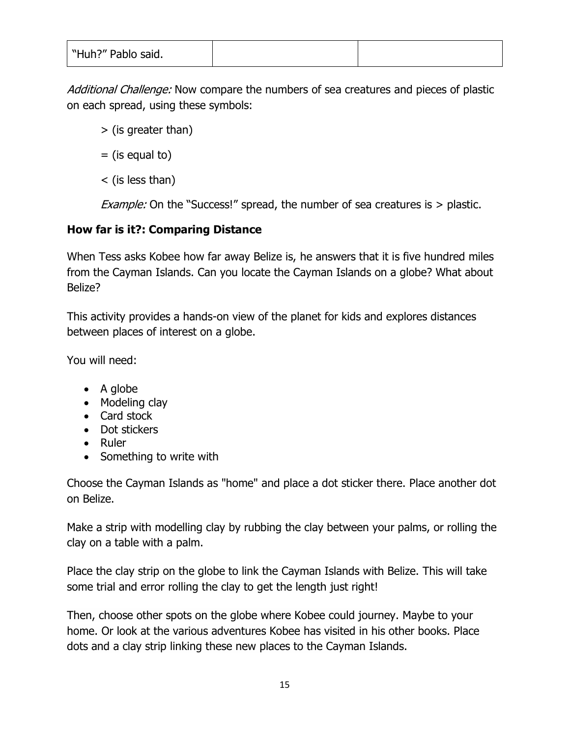| "Huh?" Pablo said. |  |  |
|--------------------|--|--|
|--------------------|--|--|

Additional Challenge: Now compare the numbers of sea creatures and pieces of plastic on each spread, using these symbols:

- > (is greater than)
- $=$  (is equal to)
- < (is less than)

Example: On the "Success!" spread, the number of sea creatures is > plastic.

#### **How far is it?: Comparing Distance**

When Tess asks Kobee how far away Belize is, he answers that it is five hundred miles from the Cayman Islands. Can you locate the Cayman Islands on a globe? What about Belize?

This activity provides a hands-on view of the planet for kids and explores distances between places of interest on a globe.

You will need:

- A globe
- Modeling clay
- Card stock
- Dot stickers
- Ruler
- Something to write with

Choose the Cayman Islands as "home" and place a dot sticker there. Place another dot on Belize.

Make a strip with modelling clay by rubbing the clay between your palms, or rolling the clay on a table with a palm.

Place the clay strip on the globe to link the Cayman Islands with Belize. This will take some trial and error rolling the clay to get the length just right!

Then, choose other spots on the globe where Kobee could journey. Maybe to your home. Or look at the various adventures Kobee has visited in his other books. Place dots and a clay strip linking these new places to the Cayman Islands.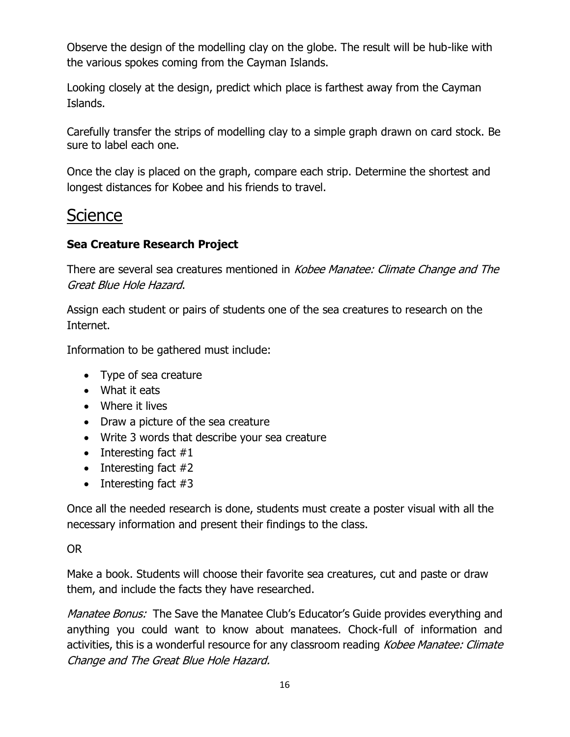Observe the design of the modelling clay on the globe. The result will be hub-like with the various spokes coming from the Cayman Islands.

Looking closely at the design, predict which place is farthest away from the Cayman Islands.

Carefully transfer the strips of modelling clay to a simple graph drawn on card stock. Be sure to label each one.

Once the clay is placed on the graph, compare each strip. Determine the shortest and longest distances for Kobee and his friends to travel.

## **Science**

#### **Sea Creature Research Project**

There are several sea creatures mentioned in Kobee Manatee: Climate Change and The Great Blue Hole Hazard.

Assign each student or pairs of students one of the sea creatures to research on the Internet.

Information to be gathered must include:

- Type of sea creature
- What it eats
- Where it lives
- Draw a picture of the sea creature
- Write 3 words that describe your sea creature
- Interesting fact  $#1$
- Interesting fact  $#2$
- Interesting fact  $#3$

Once all the needed research is done, students must create a poster visual with all the necessary information and present their findings to the class.

#### OR

Make a book. Students will choose their favorite sea creatures, cut and paste or draw them, and include the facts they have researched.

Manatee Bonus: The Save the Manatee Club's Educator's Guide provides everything and anything you could want to know about manatees. Chock-full of information and activities, this is a wonderful resource for any classroom reading Kobee Manatee: Climate Change and The Great Blue Hole Hazard.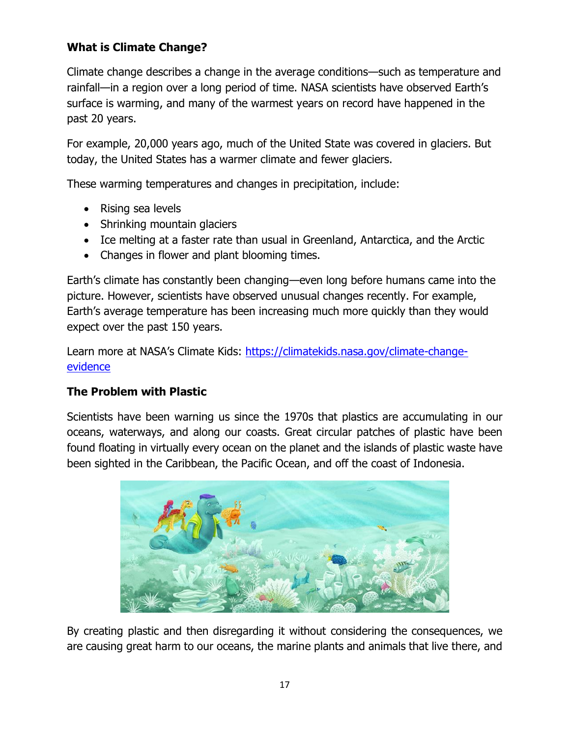#### **What is Climate Change?**

Climate change describes a change in the average conditions—such as temperature and rainfall—in a region over a long period of time. NASA scientists have observed Earth's surface is warming, and many of the warmest years on record have happened in the past 20 years.

For example, 20,000 years ago, much of the United State was covered in glaciers. But today, the United States has a warmer climate and fewer glaciers.

These warming temperatures and changes in precipitation, include:

- Rising sea levels
- Shrinking mountain glaciers
- Ice melting at a faster rate than usual in Greenland, Antarctica, and the Arctic
- Changes in flower and plant blooming times.

Earth's climate has constantly been changing—even long before humans came into the picture. However, scientists have observed unusual changes recently. For example, Earth's average temperature has been increasing much more quickly than they would expect over the past 150 years.

Learn more at NASA's Climate Kids: [https://climatekids.nasa.gov/climate-change](https://climatekids.nasa.gov/climate-change-evidence/)[evidence](https://climatekids.nasa.gov/climate-change-evidence/)

#### **The Problem with Plastic**

Scientists have been warning us since the 1970s that plastics are accumulating in our oceans, waterways, and along our coasts. Great circular patches of plastic have been found floating in virtually every ocean on the planet and the islands of plastic waste have been sighted in the Caribbean, the Pacific Ocean, and off the coast of Indonesia.



By creating plastic and then disregarding it without considering the consequences, we are causing great harm to our oceans, the marine plants and animals that live there, and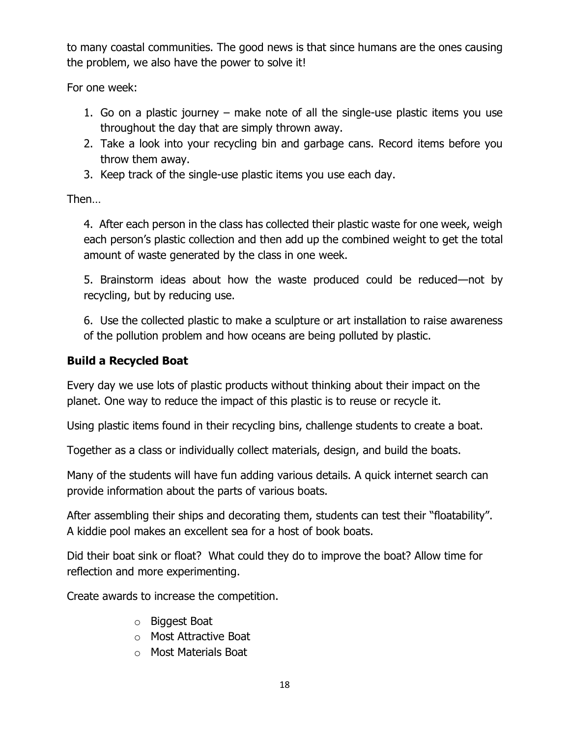to many coastal communities. The good news is that since humans are the ones causing the problem, we also have the power to solve it!

For one week:

- 1. Go on a plastic journey make note of all the single-use plastic items you use throughout the day that are simply thrown away.
- 2. Take a look into your recycling bin and garbage cans. Record items before you throw them away.
- 3. Keep track of the single-use plastic items you use each day.

Then…

4. After each person in the class has collected their plastic waste for one week, weigh each person's plastic collection and then add up the combined weight to get the total amount of waste generated by the class in one week.

5. Brainstorm ideas about how the waste produced could be reduced—not by recycling, but by reducing use.

6. Use the collected plastic to make a sculpture or art installation to raise awareness of the pollution problem and how oceans are being polluted by plastic.

#### **Build a Recycled Boat**

Every day we use lots of plastic products without thinking about their impact on the planet. One way to reduce the impact of this plastic is to reuse or recycle it.

Using plastic items found in their recycling bins, challenge students to create a boat.

Together as a class or individually collect materials, design, and build the boats.

Many of the students will have fun adding various details. A quick internet search can provide information about the parts of various boats.

After assembling their ships and decorating them, students can test their "floatability". A kiddie pool makes an excellent sea for a host of book boats.

Did their boat sink or float? What could they do to improve the boat? Allow time for reflection and more experimenting.

Create awards to increase the competition.

- o Biggest Boat
- o Most Attractive Boat
- o Most Materials Boat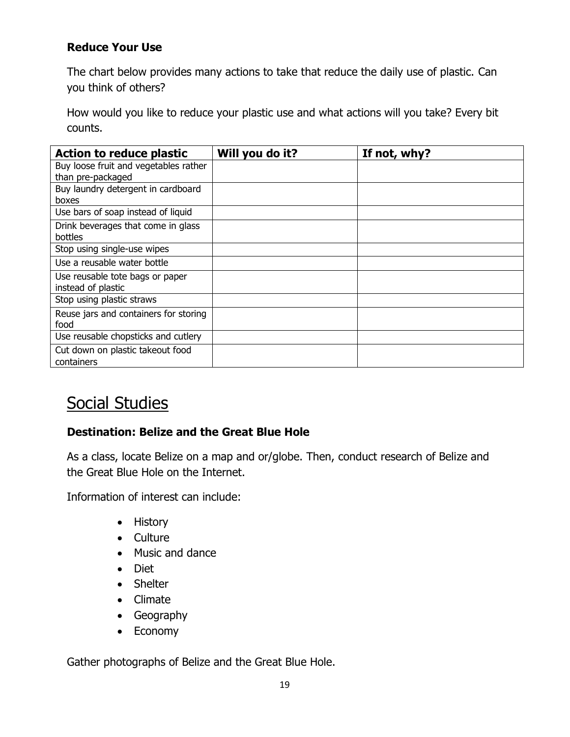#### **Reduce Your Use**

The chart below provides many actions to take that reduce the daily use of plastic. Can you think of others?

How would you like to reduce your plastic use and what actions will you take? Every bit counts.

| <b>Action to reduce plastic</b>       | Will you do it? | If not, why? |
|---------------------------------------|-----------------|--------------|
| Buy loose fruit and vegetables rather |                 |              |
| than pre-packaged                     |                 |              |
| Buy laundry detergent in cardboard    |                 |              |
| boxes                                 |                 |              |
| Use bars of soap instead of liquid    |                 |              |
| Drink beverages that come in glass    |                 |              |
| bottles                               |                 |              |
| Stop using single-use wipes           |                 |              |
| Use a reusable water bottle           |                 |              |
| Use reusable tote bags or paper       |                 |              |
| instead of plastic                    |                 |              |
| Stop using plastic straws             |                 |              |
| Reuse jars and containers for storing |                 |              |
| food                                  |                 |              |
| Use reusable chopsticks and cutlery   |                 |              |
| Cut down on plastic takeout food      |                 |              |
| containers                            |                 |              |

## Social Studies

#### **Destination: Belize and the Great Blue Hole**

As a class, locate Belize on a map and or/globe. Then, conduct research of Belize and the Great Blue Hole on the Internet.

Information of interest can include:

- History
- Culture
- Music and dance
- Diet
- Shelter
- Climate
- Geography
- Economy

Gather photographs of Belize and the Great Blue Hole.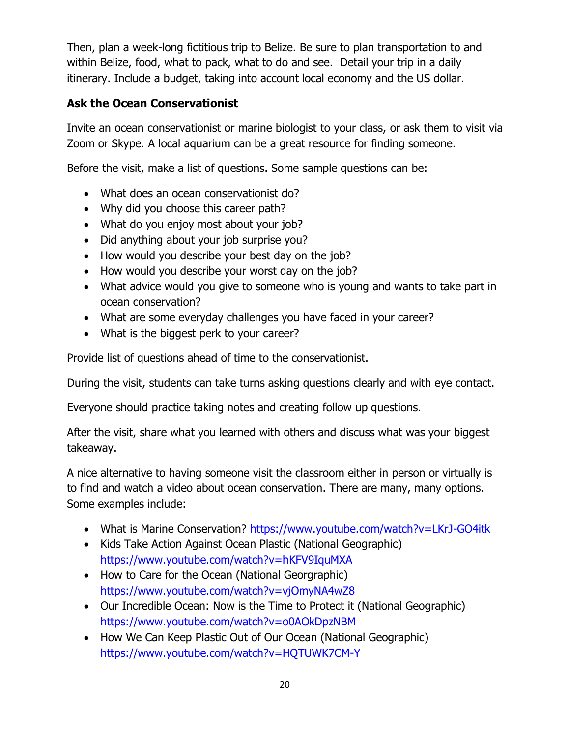Then, plan a week-long fictitious trip to Belize. Be sure to plan transportation to and within Belize, food, what to pack, what to do and see. Detail your trip in a daily itinerary. Include a budget, taking into account local economy and the US dollar.

#### **Ask the Ocean Conservationist**

Invite an ocean conservationist or marine biologist to your class, or ask them to visit via Zoom or Skype. A local aquarium can be a great resource for finding someone.

Before the visit, make a list of questions. Some sample questions can be:

- What does an ocean conservationist do?
- Why did you choose this career path?
- What do you enjoy most about your job?
- Did anything about your job surprise you?
- How would you describe your best day on the job?
- How would you describe your worst day on the job?
- What advice would you give to someone who is young and wants to take part in ocean conservation?
- What are some everyday challenges you have faced in your career?
- What is the biggest perk to your career?

Provide list of questions ahead of time to the conservationist.

During the visit, students can take turns asking questions clearly and with eye contact.

Everyone should practice taking notes and creating follow up questions.

After the visit, share what you learned with others and discuss what was your biggest takeaway.

A nice alternative to having someone visit the classroom either in person or virtually is to find and watch a video about ocean conservation. There are many, many options. Some examples include:

- What is Marine Conservation?<https://www.youtube.com/watch?v=LKrJ-GO4itk>
- Kids Take Action Against Ocean Plastic (National Geographic) <https://www.youtube.com/watch?v=hKFV9IquMXA>
- How to Care for the Ocean (National Georgraphic) <https://www.youtube.com/watch?v=vjOmyNA4wZ8>
- Our Incredible Ocean: Now is the Time to Protect it (National Geographic) <https://www.youtube.com/watch?v=o0AOkDpzNBM>
- How We Can Keep Plastic Out of Our Ocean (National Geographic) <https://www.youtube.com/watch?v=HQTUWK7CM-Y>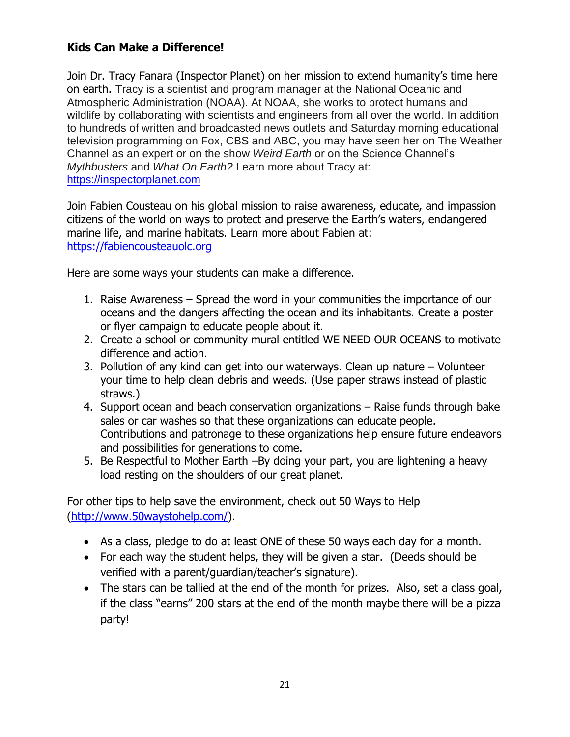#### **Kids Can Make a Difference!**

Join Dr. Tracy Fanara (Inspector Planet) on her mission to extend humanity's time here on earth. Tracy is a scientist and program manager at the National Oceanic and Atmospheric Administration (NOAA). At NOAA, she works to protect humans and wildlife by collaborating with scientists and engineers from all over the world. In addition to hundreds of written and broadcasted news outlets and Saturday morning educational television programming on Fox, CBS and ABC, you may have seen her on The Weather Channel as an expert or on the show *Weird Earth* or on the Science Channel's *Mythbusters* and *What On Earth?* Learn more about Tracy at: [https://inspectorplanet.com](https://inspectorplanet.com/)

Join Fabien Cousteau on his global mission to raise awareness, educate, and impassion citizens of the world on ways to protect and preserve the Earth's waters, endangered marine life, and marine habitats. Learn more about Fabien at: [https://fabiencousteauolc.org](https://fabiencousteauolc.org/)

Here are some ways your students can make a difference.

- 1. Raise Awareness Spread the word in your communities the importance of our oceans and the dangers affecting the ocean and its inhabitants. Create a poster or flyer campaign to educate people about it.
- 2. Create a school or community mural entitled WE NEED OUR OCEANS to motivate difference and action.
- 3. Pollution of any kind can get into our waterways. Clean up nature Volunteer your time to help clean debris and weeds. (Use paper straws instead of plastic straws.)
- 4. Support ocean and beach conservation organizations Raise funds through bake sales or car washes so that these organizations can educate people. Contributions and patronage to these organizations help ensure future endeavors and possibilities for generations to come.
- 5. Be Respectful to Mother Earth –By doing your part, you are lightening a heavy load resting on the shoulders of our great planet.

For other tips to help save the environment, check out 50 Ways to Help [\(http://www.50waystohelp.com/\)](http://www.50waystohelp.com/).

- As a class, pledge to do at least ONE of these 50 ways each day for a month.
- For each way the student helps, they will be given a star. (Deeds should be verified with a parent/guardian/teacher's signature).
- The stars can be tallied at the end of the month for prizes. Also, set a class goal, if the class "earns" 200 stars at the end of the month maybe there will be a pizza party!